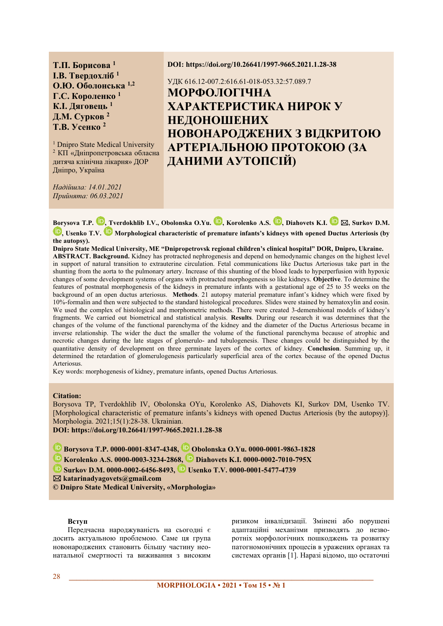**Т.П. Борисова**<sup>1</sup> **I.В. Твердохліб**<sup>1</sup> О.Ю. Оболонська<sup>1,2</sup> **Г.С. Короленко**<sup>1</sup> К.І. Дяговець<sup>1</sup> **Д.М. Сурков**<sup>2</sup> **Т.В. Усенко<sup>2</sup>** 

<sup>1</sup> Dnipro State Medical University <sup>2</sup> КП «Дніпропетровська обласна дитяча клінічна лікарня» ДОР Дніпро, Україна

*ɇɚɞɿɣɲɥɚ14.01.2021 ɉɪɢɣɧɹɬɚ06.03.2021* 

#### **DOI: https://doi.org/10.26641/1997-9665.2021.1.28-38**

# УДК 616.12-007.2:616.61-018-053.32:57.089.7 **МОРФОЛОГІЧНА ХАРАКТЕРИСТИКА НИРОК У** НЕДОНОШЕНИХ **НОВОНАРОДЖЕНИХ З ВІДКРИТОЮ АРТЕРІАЛЬНОЮ ПРОТОКОЮ (ЗА** ДАНИМИ АУТОПСІЙ)

Borysova T.P. **D**, Tverdokhlib I.V., Obolonska O.Yu. **D**, Korolenko A.S. **D**, Diahovets K.I. **D**  $\boxtimes$ , Surkov D.M. **D**. Usenko T.V. **D** Morphological characteristic of premature infants's kidneys with opened Ductus Arteriosis (by **the autopsy).** 

Dnipro State Medical University, ME "Dnipropetrovsk regional children's clinical hospital" DOR, Dnipro, Ukraine. **ABSTRACT. Background.** Kidney has protracted nephrogenesis and depend on hemodynamic changes on the highest level in support of natural transition to extrauterine circulation. Fetal communications like Ductus Arteriosus take part in the shunting from the aorta to the pulmonary artery. Increase of this shunting of the blood leads to hyperperfusion with hypoxic changes of some development systems of organs with protracted morphogenesis so like kidneys. **Objective**. To determine the features of postnatal morphogenesis of the kidneys in premature infants with a gestational age of 25 to 35 weeks on the background of an open ductus arteriosus. **Methods** 21 autopsy material premature infant's kidney which were fixed by 10%-formalin and then were subjected to the standard histological procedures. Slides were stained by hematoxylin and eosin. We used the complex of histological and morphometric methods. There were created 3-demenshional models of kidney's fragments. We carried out biometrical and statistical analysis. **Results**. During our research it was determines that the changes of the volume of the functional parenchyma of the kidney and the diameter of the Ductus Arteriosus became in inverse relationship. The wider the duct the smaller the volume of the functional parenchyma because of atrophic and necrotic changes during the late stages of glomerulo- and tubulogenesis. These changes could be distinguished by the quantitative density of development on three germinate layers of the cortex of kidney. **Conclusion**. Summing up, it determined the retardation of glomerulogenesis particularly superficial area of the cortex because of the opened Ductus Arteriosus.

Key words: morphogenesis of kidney, premature infants, opened Ductus Arteriosus.

## **Citation:**

Borysova TP, Tverdokhlib IV, Obolonska OYu, Korolenko AS, Diahovets KI, Surkov DM, Usenko TV. [Morphological characteristic of premature infants's kidneys with opened Ductus Arteriosis (by the autopsy)]. Morphologia. 2021;15(1):28-38. Ukrainian.

**DOI: https://doi.org/10.26641/1997-9665.2021.1.28-38** 

**<b>Borysova T.P. 0000-0001-8347-4348, D** Obolonska O.Yu. 0000-0001-9863-1828

 **Korolenko A.S. 0000-0003-3234-2868, Diahovets K.I. 0000-0002-7010-795X** 

 **Surkov D.M. 0000-0002-6456-8493, Usenko T.V. 0000-0001-5477-4739** 

 **katarinadyagovets@gmail.com** 

© Dnipro State Medical University, «Morphologia»

# **Вступ**

Передчасна народжуваність на сьогодні є досить актуальною проблемою. Саме ця група новонароджених становить більшу частину неонатальної смертності та виживання з високим ризиком інвалідизації. Змінені або порушені адаптаційні механізми призводять до незворотніх морфологічних пошкоджень та розвитку патогномонічних процесів в уражених органах та системах органів [1]. Наразі відомо, що остаточні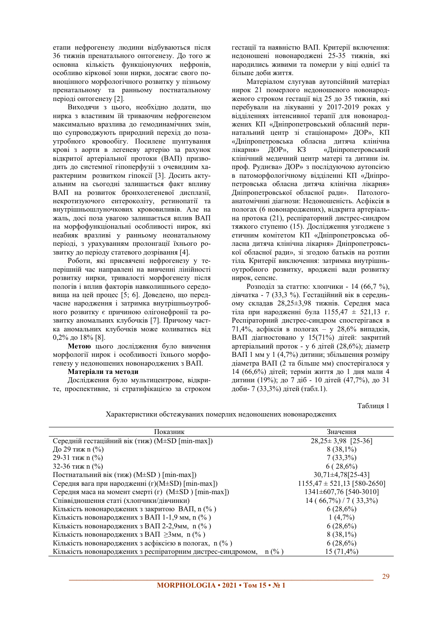етапи нефрогенезу людини відбуваються після 36 тижнів пренатального онтогенезу. До того ж основна кількість функціонуючих нефронів, особливо кіркової зони нирки, досягає свого повноцінного морфологічного розвитку у пізньому пренатальному та ранньому постнатальному періолі онтогенезу [2].

Виходячи з цього, необхідно додати, що нирка з властивим їй триваючим нефрогенезом максимально вразлива до гемодинамічних змін, що супроводжують природний перехід до позаутробного кровообігу. Посилене шунтування крові з аорти в легеневу артерію за рахунок відкритої артеріальної протоки (ВАП) призводить до системної гіпоперфузіі з очевидним характерним розвитком гіпоксії [3]. Досить актуальним на сьогодні залишається факт впливу ВАП на розвиток бронхолегеневої дисплазії, некротизуючого ентероколіту, ретинопатії та внутрішньошлуночкових крововиливів. Але на жаль, досі поза увагою залишається вплив ВАП на морфофункціональні особливості нирок, які неабияк вразливі у ранньому неонатальному періоді, з урахуванням пролонгації їхнього розвитку до періоду статевого дозрівання [4].

Роботи, які присвячені нефрогенезу у теперішній час направлені на вивченні лінійності розвитку нирки, тривалості морфогенезу після пологів і вплив факторів навколишнього середовища на цей процес [5; 6]. Доведено, що передчасне народження і затримка внутрішньоутробного розвитку є причиною олігонефронії та розвитку аномальних клубочків [7]. Причому частка аномальних клубочків може коливатись від 0,2% до 18% [8].

Метою цього дослідження було вивчення морфології нирок і особливості їхнього морфогенезу у нелоношених новонароджених з ВАП.

# **Матеріали та методи**

Дослідження було мультицентрове, відкрите, проспективне, зі стратифікацією за строком recrauiï та наявністю ВАП. Критерії включення: недоношені новонароджені 25-35 тижнів, які народились живими та померли у віці однієї та більше лоби життя.

Матеріалом слугував аутопсійний матеріал нирок 21 померлого недоношеного новонародженого строком гестації від 25 до 35 тижнів, які перебували на лікуванні у 2017-2019 роках у відділеннях інтенсивної терапії для новонароджених КП «Дніпропетровський обласний перинатальний центр зі стаціонаром» ДОР», КП «Дніпропетровська обласна дитяча клінічна лікарня» ДОР», КЗ «Дніпропетровський клінічний медичний центр матері та дитини ім. проф. Руднєва» ДОР» з послідуючою аутопсією в патоморфологічному відділенні КП «Дніпропетровська обласна дитяча клінічна лікарня» Дніпропетровської обласної ради». Патологоанатомічниі діагнози: Недоношеність. Асфіксія в пологах (6 новонароджених), відкрита артеріальна протока (21), респіраторний дистрес-синдром тяжкого ступеню (15). Дослідження узгоджене з етичним комітетом КП «Дніпропетровська обласна дитяча клінічна лікарня» Дніпропетровської обласної ради», зі згодою батьків на розтин тіла. Критерії виключення: затримка внутрішньоутробного розвитку, вроджені вади розвитку нирок, сепсис.

Розподіл за статтю: хлопчики - 14 (66,7 %), дівчатка - 7 (33,3 %). Гестаційний вік в середньому складав 28,25±3,98 тижнів. Середня маса тіла при народженні була 1155,47  $\pm$  521,13 г. Респіраторний дистрес-синдром спостерігався в 71,4%, асфіксія в пологах - у 28,6% випадків, ВАП діагностовано у 15(71%) дітей: закритий артеріальний проток - у 6 дітей (28,6%); діаметр ВАП 1 мм у 1 (4.7%) литини: збільшення розміру  $\overline{u}$ іаметра ВАП (2 та більше мм) спостерігалося у 14 (66,6%) дітей; термін життя до 1 дня мали 4 дитини (19%); до 7 діб - 10 дітей (47,7%), до 31 доби- 7 (33,3%) дітей (табл.1).

Таблиня 1

| Показник                                                    | Значення                        |
|-------------------------------------------------------------|---------------------------------|
| Середній гестаційний вік (тиж) (M±SD [min-max])             | $28,25 \pm 3,98$ [25-36]        |
| До 29 тиж n $(\% )$                                         | $8(38,1\%)$                     |
| 29-31 тиж n $(\% )$                                         | $7(33,3\%)$                     |
| 32-36 тиж n $(\% )$                                         | $6(28,6\%)$                     |
| Постнатальний вік (тиж) (M±SD) [min-max])                   | $30,71\pm4,78[25-43]$           |
| Середня вага при народженні $(r)(M\pm SD)$ [min-max])       | $1155,47 \pm 521,13$ [580-2650] |
| Середня маса на момент смерті (г) (M±SD) [min-max])         | 1341±607,76 [540-3010]          |
| Співвідношення статі (хлопчики/дівчинки)                    | $14 (66,7\%) / 7 (33,3\%)$      |
| Кількість новонароджених з закритою ВАП, n (%)              | $6(28,6\%)$                     |
| Кількість новонароджених з ВАП 1-1,9 мм, n (%)              | $1(4,7\%)$                      |
| Кількість новонароджених з ВАП 2-2,9мм, п (%)               | $6(28,6\%)$                     |
| Кількість новонароджених з ВАП ≥3мм, n (%)                  | $8(38,1\%)$                     |
| Кількість новонароджених з асфіксією в пологах, n (%)       | $6(28,6\%)$                     |
| Кількість новонароджених з респіраторним дистрес-синдромом, | $15(71,4\%)$<br>$n$ (%)         |

Характеристики обстежуваних померлих недоношених новонароджених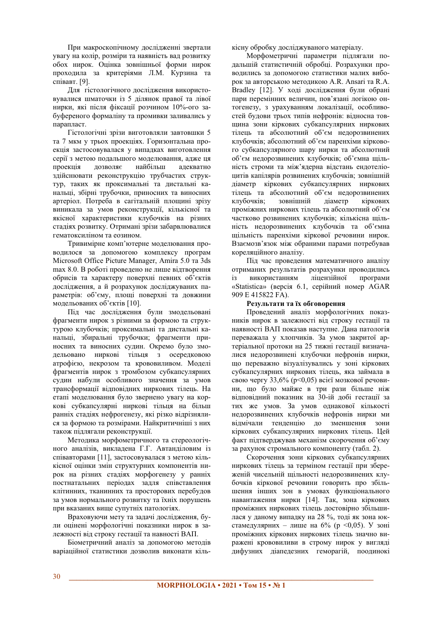При макроскопічному дослідженні звертали увагу на колір, розміри та наявність вад розвитку обох нирок. Оцінка зовнішньої форми нирок проходила за критеріями Л.М. Курзина та співавт. <sup>[9]</sup>.

Для гістологічного дослідження використовувалися шматочки із 5 лілянок правої та лівої нирки, які після фіксації розчином 10%-ого забуференого формаліну та промивки заливались у парапласт.

Гістологічні зрізи виготовляли завтовшки 5 та 7 мкм у трьох проекціях. Горизонтальна проекція застосовувалася у випадках виготовлення серії з метою подальшого моделювання, адже ця проекція дозволяє найбільш адекватно здійснювати реконструкцію трубчастих структур, таких як проксимальні та дистальні канальці, збірні трубочки, приносних та виносних артеріол. Потреба в сагітальній площині зрізу виникала за умов реконструкції, кількісної та якісної характеристики клубочків на різних стадіях розвитку. Отримані зрізи забарвлювалися гематоксиліном та еозином.

Тривимірне комп'ютерне моделювання проводилося за допомогою комплексу програм Microsoft Office Picture Manager, Amira 5.0 Ta 3ds тах 8.0. В роботі проведено не лише відтворення обрисів та характеру поверхні певних об'єктів дослідження, а й розрахунок досліджуваних параметрів: об'єму, площі поверхні та довжини модельованих об'єктів [10].

Під час дослідження були змодельовані фрагменти нирок з різними за формою та структурою клубочків; проксимальні та дистальні канальці, збиральні трубочки; фрагменти приносних та виносних судин. Окремо було змодельовано ниркові тільця з осередковою атрофією, некрозом та крововиливом. Моделі фрагментів нирок з тромбозом субкапсулярних судин набули особливого значення за умов трансформації відповідних ниркових тілець. На етапі моделювання було звернено увагу на коркові субкапсулярні ниркові тільця на більш ранніх стадіях нефрогенезу, які різко відрізнялися за формою та розмірами. Найкритичніші з них також підлягали реконструкції.

Методика морфометричного та стереологічного аналізів, викладена Г.Г. Автанділовим із співавторами [11], застосовувалася з метою кількісної оцінки змін структурних компонентів нирок на різних стадіях морфогенезу у ранніх постнатальних періодах задля співставлення клітинних, тканинних та просторових перебудов за умов нормального розвитку та їхніх порушень при вказаних вище супутніх патологіях.

Враховуючи мету та задачі дослідження, були оцінені морфологічні показники нирок в залежності від строку гестації та навності ВАП.

Біометричний аналіз за лопомогою метолів варіаційної статистики лозволив виконати кількісну обробку досліджуваного матеріалу.

Морфометричні параметри підлягали подальшій статистичній обробці. Розрахунки проводились за допомогою статистики малих виборок за авторською методикою A.R. Ansari та R.A. Bradley [12]. У ході дослідження були обрані пари перемінних величин, пов'язані логікою онтогенезу, з урахуванням локалізації, особливостей будови трьох типів нефронів: відносна товщина зони кіркових субкапсулярних ниркових тілець та абсолютний об'єм недорозвинених клубочків; абсолютний об'єм паренхіми кіркового субкапсулярного шару нирки та абсолютний об'єм недорозвинених клубочків; об'ємна щільність строми та між'ядерна відстань ендотеліоцитів капілярів розвинених клубочків; зовнішній діаметр кіркових субкапсулярних ниркових тілець та абсолютний об'єм недорозвинених<br>клубочків: зовнішній ліаметр кіркових клубочків: зовнішній ліаметр проміжних ниркових тілець та абсолютний об'єм частково розвинених клубочків; кількісна щільність недорозвинених клубочків та об'ємна щільність паренхіми кіркової речовини нирок. Взаємозв'язок між обраними парами потребував кореляційного аналізу.

Під час проведення математичного аналізу отриманих результатів розрахунки проводились із використанням ліцензійної програми «Statistica» (версія 6.1, серійний номер AGAR 909 E 415822 FA).

## Результати та їх обговорення

Проведений аналіз морфологічних показників нирок в залежності від строку гестації та наявності ВАП показав наступне. Дана патологія переважала у хлопчиків. За умов закритої артеріальної протоки на 25 тижні гестації визначалися недорозвинені клубочки нефронів нирки. що переважно візуалізувались у зоні кіркових субкапсулярних ниркових тілець, яка займала в свою чергу 33,6% (р<0,05) всієї мозкової речовини, що було майже в три рази більше ніж відповідний показник на 30-ій добі гестації за тих же умов. За умов однакової кількості недорозвинених клубочків нефронів нирки ми відмічали тенденцію до зменшення зони кіркових субкапсулярних ниркових тілець. Цей факт підтверджував механізм скорочення об'єму за рахунок стромального компоненту (табл. 2).

Скорочення зони кіркових субкапсулярних ниркових тілець за терміном гестації при збереженій чисельній щільності недорозвинених клубочків кіркової речовини говорить про збільшення інших зон в умовах функціонального навантаження нирки [14]. Так, зона кіркових проміжних ниркових тілець достовірно збільшилася у даному випадку на 28 %, тоді як зона юкстамедулярних – лише на 6% (р < 0,05). У зоні проміжних кіркових ниркових тілець значно виражені крововиливи в строму нирок у виглялі дифузних діапедезних геморагій, поодинокі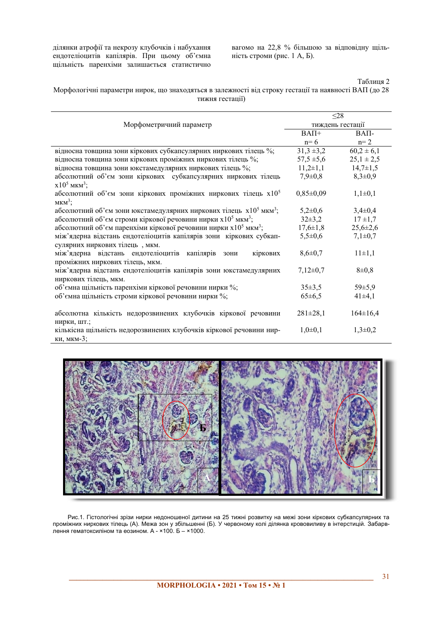ділянки атрофії та некрозу клубочків і набухання ендотеліоцитів капілярів. При цьому об'ємна щільність паренхіми залишається статистично

вагомо на 22,8 % більшою за відповідну щільність строми (рис. 1 А, Б).

Таблиця 2

Морфологічні параметри нирок, що знаходяться в залежності від строку гестації та наявності ВАП (до 28 тижня гестації)

|                                                                                        | $\leq$ 28        |                |
|----------------------------------------------------------------------------------------|------------------|----------------|
| Морфометричний параметр                                                                | тиждень гестації |                |
|                                                                                        | $BA\Pi +$        | $BAII-$        |
|                                                                                        | $n=6$            | $n=2$          |
| відносна товщина зони кіркових субкапсулярних ниркових тілець %;                       | $31,3 \pm 3,2$   | $60,2 \pm 6,1$ |
| відносна товщина зони кіркових проміжних ниркових тілець %;                            | $57,5 \pm 5,6$   | $25,1 \pm 2,5$ |
| відносна товщина зони юкстамедулярних ниркових тілець %;                               | $11,2\pm 1,1$    | $14,7 \pm 1,5$ |
| абсолютний об'єм зони кіркових субкапсулярних ниркових тілець                          | $7,9 \pm 0,8$    | $8,3\pm0,9$    |
| $x10^5$ MKM <sup>3</sup> ;                                                             |                  |                |
| абсолютний об'єм зони кіркових проміжних ниркових тілець х105                          | $0,85 \pm 0,09$  | $1,1\pm0,1$    |
| $MKM^3$ ;                                                                              |                  |                |
| абсолютний об'єм зони юкстамедулярних ниркових тілець $x10^5$ мкм <sup>3</sup> ;       | $5,2\pm0,6$      | $3,4\pm0,4$    |
| абсолютний об'єм строми кіркової речовини нирки х10 <sup>5</sup> мкм <sup>3</sup> ;    | $32\pm3.2$       | $17 + 1,7$     |
| абсолютний об'єм паренхіми кіркової речовини нирки х10 <sup>5</sup> мкм <sup>3</sup> ; | $17,6 \pm 1,8$   | $25,6 \pm 2,6$ |
| між'ядерна відстань ендотеліоцитів капілярів зони кіркових субкап-                     | $5,5 \pm 0,6$    | $7,1\pm0,7$    |
| сулярних ниркових тілець, мкм.                                                         |                  |                |
| між'ядерна відстань ендотеліоцитів капілярів<br>кіркових<br>зони                       | $8,6 \pm 0.7$    | $11 \pm 1,1$   |
| проміжних ниркових тілець, мкм.                                                        |                  |                |
| між'ядерна відстань ендотеліоцитів капілярів зони юкстамедулярних                      | $7,12\pm0,7$     | $8\pm0.8$      |
| ниркових тілець, мкм.                                                                  |                  |                |
| об'ємна щільність паренхіми кіркової речовини нирки %;                                 | $35\pm3.5$       | 59±5,9         |
| об'ємна щільність строми кіркової речовини нирки %;                                    | $65 \pm 6,5$     | $41\pm4,1$     |
|                                                                                        |                  |                |
| абсолютна кількість недорозвинених клубочків кіркової речовини                         | $281 \pm 28,1$   | $164 \pm 16,4$ |
| нирки, шт.;                                                                            |                  |                |
| кількісна щільність недорозвинених клубочків кіркової речовини нир-                    | $1,0\pm 0,1$     | $1,3\pm0,2$    |
| ки, мкм-3;                                                                             |                  |                |



Рис.1. Гістологічні зрізи нирки недоношеної дитини на 25 тижні розвитку на межі зони кіркових субкапсулярних та проміжних ниркових тілець (А). Межа зон у збільшенні (Б). У червоному колі ділянка крововиливу в інтерстицій. Забарв-<br>лення гематоксиліном та еозином. А - ×100. Б – ×1000.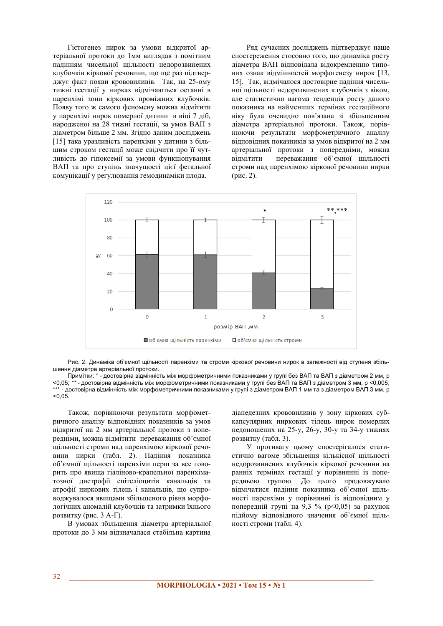Гістогенез нирок за умови відкритої артеріальної протоки до 1мм виглядав з помітним падінням чисельної щільності недорозвинених клубочків кіркової речовини, що ще раз пілтверджує факт появи крововиливів. Так, на 25-ому тижні гестації у нирках відмічаються останні в паренхімі зони кіркових проміжних клубочків. Появу того ж самого феномену можна відмітити у паренхімі нирок померлої дитини в віці 7 діб, народженої на 28 тижні гестації, за умов ВАП з діаметром більше 2 мм. Згідно даним досліджень [15] така уразливість паренхіми у дитини з більшим строком гестації може свідчити про її чутливість до гіпоксемії за умови функціонування ВАП та про ступінь значущості цієї фетальної комунікації у регулювання гемодинаміки плода.

Рял сучасних лослілжень пілтверлжує наше спостереження стосовно того, що динаміка росту діаметра ВАП відповідала відокремленню типових ознак вілмінностей морфогенезу нирок [13, 151. Так, вілмічалося лостовірне паління чисельної щільності недорозвинених клубочків з віком, але статистично вагома тенденція росту даного показника на найменших термінах гестаційного віку була очевидно пов'язана зі збільшенням діаметра артеріальної протоки. Також, порівнюючи результати морфометричного аналізу відповідних показників за умов відкритої на 2 мм артеріальної протоки з попередніми, можна відмітити переважання об'ємної щільності строми над паренхімою кіркової речовини нирки  $(pnc. 2)$ .



Рис. 2. Динаміка об'ємної щільності паренхіми та строми кіркової речовини нирок в залежності від ступеня збільшення діаметра артеріальної протоки.

Примітки: \* - достовірна відмінність між морфометричними показниками у групі без ВАП та ВАП з діаметром 2 мм, р <0,05; \*\* - достовірна відмінність між морфометричними показниками у групі без ВАП та ВАП з діаметром 3 мм, р <0,005; \*\*\* - достовірна відмінність між морфометричними показниками у групі з діаметром ВАП 1 мм та з діаметром ВАП 3 мм, р  $< 0.05$ .

Також, порівнюючи результати морфометричного аналізу відповідних показників за умов відкритої на 2 мм артеріальної протоки з поперелніми, можна вілмітити переважання об'ємної щільності строми над паренхімою кіркової речовини нирки (табл. 2). Падіння показника об'ємної щільності паренхіми перш за все говорить про явища гіаліново-крапельної паренхіматозної дистрофії епітеліоцитів канальців та атрофії ниркових тілець і канальців, що супроводжувалося явищами збільшеного рівня морфологічних аномалій клубочків та затримки їхнього розвитку (рис. 3 А- $\Gamma$ ).

В умовах збільшення діаметра артеріальної протоки до 3 мм відзначалася стабільна картина діапедезних крововиливів у зону кіркових субкапсулярних ниркових тілець нирок померлих недоношених на 25-у, 26-у, 30-у та 34-у тижнях розвитку (табл. 3).

У противагу цьому спостерігалося статистично вагоме збільшення кількісної щільності недорозвинених клубочків кіркової речовини на ранніх термінах гестації у порівнянні із попередньою групою. До цього продовжувало відмічатися падіння показника об'ємної щільності паренхіми у порівнянні із відповідним у попередній групі на 9,3 % (р<0,05) за рахунок підйому відповідного значення об'ємної щільності строми (табл. 4).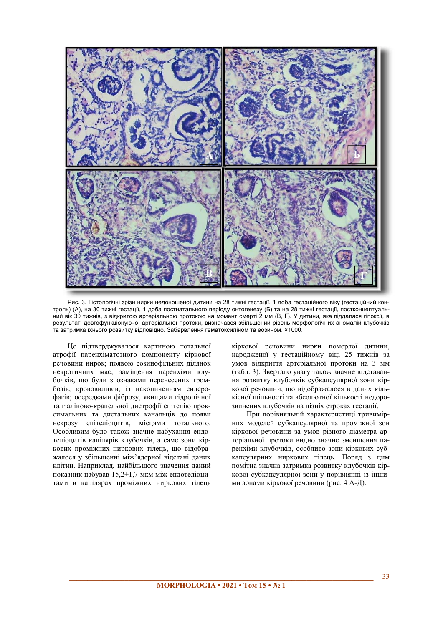

Рис. 3. Гістологічні зрізи нирки недоношеної дитини на 28 тижні гестації, 1 доба гестаційного віку (гестаційний контроль) (А), на 30 тижні гестації, 1 доба постнатального періоду онтогенезу (Б) та на 28 тижні гестації, постконцептуальний вік 30 тижнів, з відкритою артеріальною протокою на момент смерті 2 мм (В, Г). У дитини, яка піддалася гіпоксії, в результаті довгофункціонуючої артеріальної протоки, визначався збільшений рівень морфологічних аномалій клубочків • • эатримка їхнього розвитку відповідно. Забарвлення гематоксиліном та еозином. ×1000.

Це підтверджувалося картиною тотальної атрофії паренхіматозного компоненту кіркової печовини нирок: появою еозинофільних лілянок некротичних мас; заміщення паренхіми клубочків, що були з ознаками перенесених тромбозів, крововиливів, із накопиченням сидерофагів; осередками фіброзу, явищами гідропічної та гіаліново-крапельної дистрофії епітелію проксимальних та дистальних канальців до появи некрозу епітеліоцитів, місцями тотального. Особливим було також значне набухання ендотеліоцитів капілярів клубочків, а саме зони кіркових проміжних ниркових тілець, що відображалося у збільшенні між'ялерної вілстані ланих клітин. Наприклад, найбільшого значення даний показник набував 15,2±1,7 мкм між ендотеліоцитами в капілярах проміжних ниркових тілець кіркової речовини нирки померлої дитини, народженої у гестаційному віці 25 тижнів за умов відкриття артеріальної протоки на 3 мм (табл. 3). Звертало увагу також значне відставання розвитку клубочків субкапсулярної зони кіркової речовини, що відображалося в даних кількісної щільності та абсолютної кількості недорозвинених клубочків на пізніх строках гестації.

При порівняльній характеристиці тривимірних моделей субкапсулярної та проміжної зон кіркової речовини за умов різного діаметра артеріальної протоки видно значне зменшення паренхіми клубочків, особливо зони кіркових субкапсулярних ниркових тілець. Поряд з цим помітна значна затримка розвитку клубочків кіркової субкапсулярної зони у порівнянні із іншими зонами кіркової речовини (рис. 4 А-Д).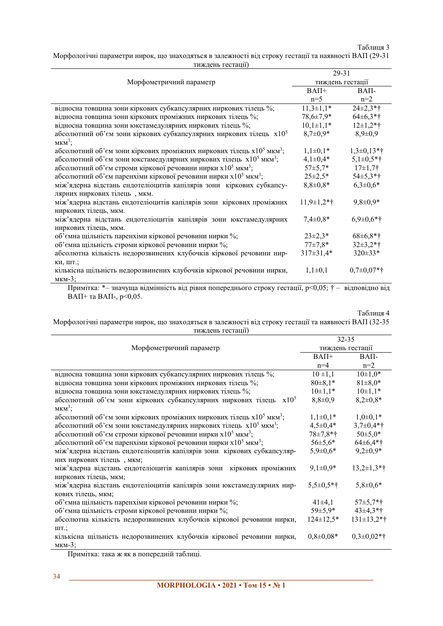# Таблиця 3

Морфологічні параметри нирок, що знаходяться в залежності від строку гестації та наявності ВАП (29-31 тиждень гестації)

|                                                                                              | 29-31            |                 |
|----------------------------------------------------------------------------------------------|------------------|-----------------|
| Морфометричний параметр                                                                      | тиждень гестації |                 |
|                                                                                              | $BA\Pi+$         | $BA\Pi$ -       |
|                                                                                              | $n=5$            | $n=2$           |
| відносна товщина зони кіркових субкапсулярних ниркових тілець %;                             | $11,3\pm1,1*$    | $24\pm2.3*$ †   |
| відносна товщина зони кіркових проміжних ниркових тілець %;                                  | 78,6±7,9*        | $64\pm6.3*$ †   |
| відносна товщина зони юкстамедулярних ниркових тілець %;                                     | $10,1\pm1,1*$    | $12\pm1,2*$ †   |
| абсолютний об'єм зони кіркових субкапсулярних ниркових тілець х $10^5$                       | $8,7\pm0.9*$     | $8,9 \pm 0.9$   |
| $MKM^3$ ;                                                                                    |                  |                 |
| абсолютний об'єм зони кіркових проміжних ниркових тілець х10 <sup>5</sup> мкм <sup>3</sup> ; | $1,1\pm0,1*$     | $1,3\pm0,13*$ † |
| абсолютний об'єм зони юкстамедулярних ниркових тілець х10 <sup>5</sup> мкм <sup>3</sup> ;    | $4,1\pm0,4*$     | $5,1\pm0,5*$ †  |
| абсолютний об'єм строми кіркової речовини нирки х10 <sup>5</sup> мкм <sup>3</sup> ;          | $57 \pm 5.7*$    | $17\pm1,7$ †    |
| абсолютний об'єм паренхіми кіркової речовини нирки х $10^5$ мкм <sup>3</sup> ;               | $25 \pm 2.5^*$   | $54\pm5.3*$ †   |
| між'ядерна відстань ендотеліоцитів капілярів зони кіркових субкапсу-                         | $8,8{\pm}0,8*$   | $6,3\pm0,6*$    |
| лярних ниркових тілець, мкм.                                                                 |                  |                 |
| між'ядерна відстань ендотеліоцитів капілярів зони кіркових проміжних                         | $11,9\pm1,2*$ †  | $9,8 \pm 0,9*$  |
| ниркових тілець, мкм.                                                                        |                  |                 |
| між'ядерна відстань ендотеліоцитів капілярів зони юкстамедулярних                            | $7,4\pm0,8*$     | $6,9\pm0,6*$ †  |
| ниркових тілець, мкм.                                                                        |                  |                 |
| об'ємна щільність паренхіми кіркової речовини нирки %;                                       | $23 \pm 2.3*$    | $68 \pm 6.8*$ † |
| об'ємна щільність строми кіркової речовини нирки %;                                          | $77 + 7,8*$      | $32\pm3,2*$ †   |
| абсолютна кількість недорозвинених клубочків кіркової речовини нир-                          | $317 \pm 31,4*$  | 320±33*         |
| КИ, ШТ.;                                                                                     |                  |                 |
| кількісна щільність недорозвинених клубочків кіркової речовини нирки,                        | $1,1\pm0,1$      | $0,7\pm0,07*$ † |
| $MKM-3$ ;                                                                                    |                  |                 |

Примітка: \*- значуща відмінність від рівня попереднього строку гестації, р<0,05; † - відповідно від  $BAII+$  ra  $BAII-$ , p<0,05.

# Таблиця 4

Морфологічні параметри нирок, що знаходяться в залежності від строку гестації та наявності ВАП (32-35 тиждень гестації)

| $\frac{1}{2}$                                                                             |                 |                  |  |
|-------------------------------------------------------------------------------------------|-----------------|------------------|--|
| Морфометричний параметр                                                                   |                 | $32 - 35$        |  |
|                                                                                           |                 | тиждень гестації |  |
|                                                                                           | $BA\Pi +$       | BAΠ-             |  |
|                                                                                           | $n=4$           | $n=2$            |  |
| відносна товщина зони кіркових субкапсулярних ниркових тілець %;                          | $10 \pm 1,1$    | $10\pm1,0*$      |  |
| відносна товщина зони кіркових проміжних ниркових тілець %;                               | $80 \pm 8.1*$   | $81 \pm 8.0*$    |  |
| відносна товщина зони юкстамедулярних ниркових тілець %;                                  | $10\pm1,1*$     | $10\pm1,1*$      |  |
| абсолютний об'єм зони кіркових субкапсулярних ниркових тілець $x10^5$                     | $8,8 \pm 0.9$   | $8,2{\pm}0,8*$   |  |
| $MKM^3$ ;                                                                                 |                 |                  |  |
| абсолютний об'єм зони кіркових проміжних ниркових тілець х $10^5$ мкм <sup>3</sup> ;      | $1,1\pm0,1*$    | $1,0\pm0,1*$     |  |
| абсолютний об'єм зони юкстамедулярних ниркових тілець х10 <sup>5</sup> мкм <sup>3</sup> ; | $4,5 \pm 0,4*$  | $3,7\pm0,4*$ †   |  |
| абсолютний об'єм строми кіркової речовини нирки х $10^5$ мкм <sup>3</sup> ;               | 78±7,8*†        | $50 \pm 5,0*$    |  |
| абсолютний об'єм паренхіми кіркової речовини нирки х $10^5$ мкм <sup>3</sup> ;            | $56 \pm 5,6*$   | $64\pm6.4*$ †    |  |
| між'ядерна відстань ендотеліоцитів капілярів зони кіркових субкапсуляр-                   | $5,9{\pm}0,6*$  | $9,2\pm0,9*$     |  |
| них ниркових тілець, мкм;                                                                 |                 |                  |  |
| між'ядерна відстань ендотеліоцитів капілярів зони кіркових проміжних                      | $9,1\pm0.9*$    | $13,2\pm1,3*$ †  |  |
| ниркових тілець, мкм;                                                                     |                 |                  |  |
| між'ядерна відстань ендотеліоцитів капілярів зони юкстамедулярних нир-                    | $5,5\pm0,5*$ †  | $5,8 \pm 0.6*$   |  |
| кових тілець, мкм;                                                                        |                 |                  |  |
| об'ємна щільність паренхіми кіркової речовини нирки %;                                    | $41\pm4,1$      | $57\pm5,7*$ †    |  |
| об'ємна щільність строми кіркової речовини нирки %;                                       | 59±5,9*         | $43\pm4.3*$ †    |  |
| абсолютна кількість недорозвинених клубочків кіркової речовини нирки,                     | $124 \pm 12.5*$ | $131\pm 13,2*$ † |  |
| ШТ.;                                                                                      |                 |                  |  |
| кількісна щільність недорозвинених клубочків кіркової речовини нирки,                     | $0,8{\pm}0,08*$ | $0,3\pm0,02*$ †  |  |
| $MKM-3;$                                                                                  |                 |                  |  |

Примітка: така ж як в попередній таблиці.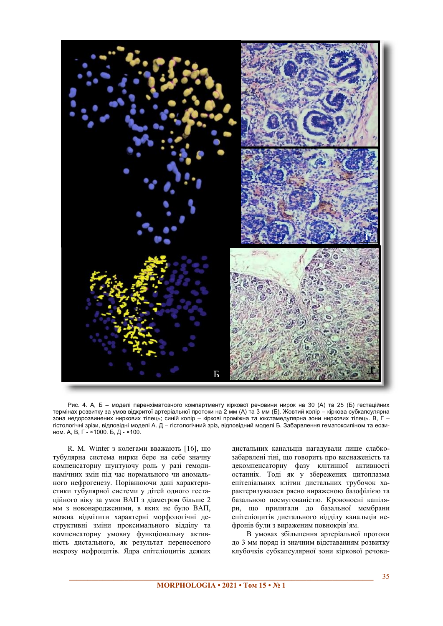

Рис. 4. А, Б – моделі паренхіматозного компартменту кіркової речовини нирок на 30 (A) та 25 (Б) гестаційних термінах розвитку за умов відкритої артеріальної протоки на 2 мм (A) та 3 мм (Б). Жовтий колір – кіркова субкапсулярна зона недорозвинених ниркових тілець, синій колір - кіркові проміжна та юкстамедулярна зони ниркових тілець. В, Г гістологічні зрізи, відповідні моделі А. Д - гістологічний зріз, відповідний моделі Б. Забарвлення гематоксиліном та еозином. А, В, Г - ×1000. Б, Д - ×100.

R. M. Winter з колегами вважають [16], що тубулярна система нирки бере на себе значну компенсаторну шунтуючу роль у разі гемодинамічних змін під час нормального чи аномального нефрогенезу. Порівнюючи дані характеристики тубулярної системи у дітей одного гестаційного віку за умов ВАП з діаметром більше 2 мм з новонародженими, в яких не було ВАП, можна відмітити характерні морфологічні деструктивні зміни проксимального відділу та компенсаторну умовну функціональну активність дистального, як результат перенесеного некрозу нефроцитів. Ядра епітеліоцитів деяких дистальних канальців нагадували лише слабкозабарвлені тіні, що говорить про виснаженість та декомпенсаторну фазу клітинної активності останніх. Тоді як у збережених цитоплазма епітеліальних клітин дистальних трубочок характеризувалася рясно вираженою базофілією та ъ<br>базальною посмугованістю. Кровоносні капіляри, що прилягали до базальної мембрани епітеліоцитів дистального відділу канальців нефронів були з вираженим повнокрів'ям.

В умовах збільшення артеріальної протоки до 3 мм поряд із значним відставанням розвитку клубочків субкапсулярної зони кіркової речови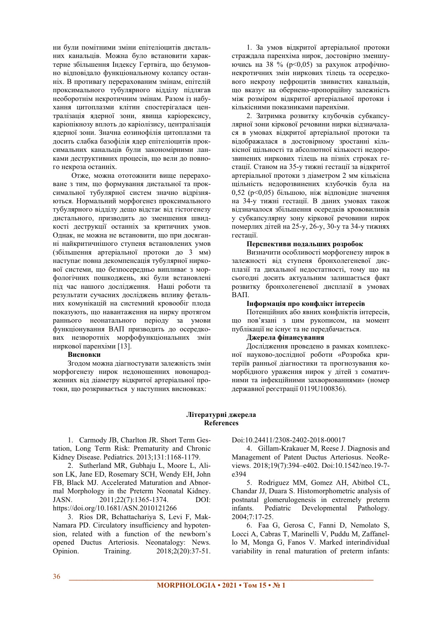ни були помітними зміни епітеліоцитів листальних канальців. Можна було встановити характерне збільшення Індексу Гертвіга, що безумовно вілповілало функціональному колапсу останніх. В противагу перерахованим змінам, епітелій проксимального тубулярного відділу підлягав необоротнім некротичним змінам. Разом із набухання цитоплазми клітин спостерігалася централізація ядерної зони, явища каріорексису, каріопікнозу вплоть до каріолізису, централізація ядерної зони. Значна еозинофілія цитоплазми та досить слабка базофілія ядер епітеліоцитів проксимальних канальців були закономірними ланками деструктивних процесів, що вели до повного некроза останніх.

Отже, можна ототожнити вище перераховане з тим, що формування дистальної та проксимальної тубулярної систем значно відрізняються. Нормальний морфогенез проксимального тубулярного відділу дещо відстає від гістогенезу истального, призводить до зменшення швидкості деструкції останніх за критичних умов. Однак, не можна не встановити, що при досяганні найкритичнішого ступеня встановлених умов (збільшення артеріальної протоки до 3 мм) наступає повна декомпенсація тубулярної ниркової системи, що безпосередньо випливає з морфологічних пошкоджень, які були встановлені під час нашого дослідження. Наші роботи та результати сучасних досліджень впливу фетальних комунікацій на системний кровообіг плода показують, що навантаження на нирку протягом раннього неонатального періоду за умови функціонування ВАП призводить до осередкових незворотніх морфофункціональних змін ниркової паренхіми  $[13]$ .

#### **Висновки**

Зголом можна ліагностувати залежність змін морфогенезу нирок недоношенних новонародженних від діаметру відкритої артеріальної протоки, що розкривається у наступних висновках:

1. За умов вілкритої артеріальної протоки страждала паренхіма нирок, достовірно зменшуючись на 38 % (р<0,05) за рахунок атрофічнонекротичних змін ниркових тілець та осередкового некрозу нефроцитів звивистих канальців. що вказує на обернено-пропорційну залежність між розміром вілкритої артеріальної протоки і кількісними показниками паренхіми.

2. Затримка розвитку клубочків субкапсулярної зони кіркової речовини нирки відзначалася в умовах відкритої артеріальної протоки та відображалася в достовірному зростанні кількісної щільності та абсолютної кількості недорозвинених ниркових тілець на пізніх строках гестації. Станом на 35-у тижні гестації за відкритої артеріальної протоки з діаметром 2 мм кількісна щільність недорозвинених клубочків була на  $0,52$  (p<0,05) більшою, ніж відповідне значення на 34-у тижні гестації. В даних умовах також вілзначалося збільшення осерелків крововиливів у субкапсулярну зону кіркової речовини нирок померлих дітей на 25-у, 26-у, 30-у та 34-у тижнях recramii.

## Перспективи подальших розробок

Визначити особливості морфогенезу нирок в залежності від ступеня бронхолегеневої дисплазії та дихальної недостатності, тому що на сьогодні досить актуальним залишається факт розвитку бронхолегеневої дисплазії в умовах BAΠ.

## **Інформація про конфлікт інтересів**

Потенційних або явних конфліктів інтересів, що пов'язані з цим рукописом, на момент публікації не існує та не передбачається.

# Джерела фінансування

Дослідження проведено в рамках комплексної науково-лослілної роботи «Розробка критеріїв ранньої ліагностики та прогнозування коморбідного ураження нирок у дітей з соматичними та інфекційними захворюваннями» (номер державної реєстрації 0119U100836).

## **Літературні джерела References**

1. Carmody JB, Charlton JR. Short Term Gestation, Long Term Risk: Prematurity and Chronic Kidney Disease. Pediatrics. 2013;131:1168-1179.

2. Sutherland MR, Gubhaju L, Moore L, Alison LK, Jane ED, Rosemary SCH, Wendy EH, John FB, Black MJ. Accelerated Maturation and Abnormal Morphology in the Preterm Neonatal Kidney. JASN. 2011;22(7):1365-1374. DOI: https://doi.org/10.1681/ASN.2010121266

3. Rios DR, Bchattachariya S, Levi F, Mak-Namara PD. Circulatory insufficiency and hypotension, related with a function of the newborn's opened Ductus Arteriosis. Neonatalogy: News. Opinion. Training. 2018;2(20):37-51. Doi:10.24411/2308-2402-2018-00017

4. Gillam-Krakauer M, Reese J. Diagnosis and Management of Patent Ductus Arteriosus. NeoReviews. 2018;19(7):394-e402. Doi:10.1542/neo.19-7e394

5. Rodriguez MM, Gomez AH, Abitbol CL, Chandar JJ, Duara S. Histomorphometric analysis of postnatal glomerulogenesis in extremely preterm infants. Pediatric Developmental Pathology. 2004;7:17-25.

6. Faa G, Gerosa C, Fanni D, Nemolato S, Locci A, Cabras T, Marinelli V, Puddu M, Zaffanello M, Monga G, Fanos V. Marked interindividual variability in renal maturation of preterm infants: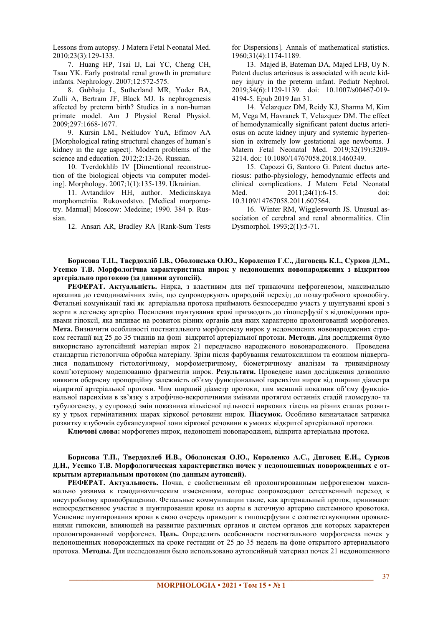Lessons from autopsy. J Matern Fetal Neonatal Med. 2010;23(3):129-133.

7. Huang HP, Tsai IJ, Lai YC, Cheng CH, Tsau YK. Early postnatal renal growth in premature infants. Nephrology. 2007;12:572-575.

8. Gubhaju L, Sutherland MR, Yoder BA, Zulli A, Bertram JF, Black MJ. Is nephrogenesis affected by preterm birth? Studies in a non-human primate model. Am J Physiol Renal Physiol. 2009;297:1668-1677.

9. Kursin LM., Nekludov YuA, Efimov AA [Morphological rating structural changes of human's kidney in the age aspect]. Modern problems of the science and education. 2012;2:13-26. Russian.

10. Tverdokhlib IV [Dimentional reconstruction of the biological objects via computer modeling]. Morphology. 2007;1(1):135-139. Ukrainian.

11. Avtandilov HH, author. Medicinskaya morphometriia. Rukovodstvo. [Medical morpometry. Manuall Moscow: Medcine: 1990. 384 p. Russian.

12. Ansari AR, Bradley RA [Rank-Sum Tests

for Dispersions]. Annals of mathematical statistics. 1960;31(4):1174-1189.

13. Majed B, Bateman DA, Majed LFB, Uy N. Patent ductus arteriosus is associated with acute kidney injury in the preterm infant. Pediatr Nephrol. 2019;34(6):1129-1139. doi: 10.1007/s00467-019- 4194-5. Epub 2019 Jan 31.

14. Velazquez DM, Reidy KJ, Sharma M, Kim M, Vega M, Havranek T, Velazquez DM. The effect of hemodynamically significant patent ductus arteriosus on acute kidney injury and systemic hypertension in extremely low gestational age newborns. J Matern Fetal Neonatal Med. 2019;32(19):3209- 3214. doi: 10.1080/14767058.2018.1460349.

15. Capozzi G, Santoro G. Patent ductus arteriosus: patho-physiology, hemodynamic effects and clinical complications. J Matern Fetal Neonatal Med. 2011:24(1):6-15. doi: 10.3109/14767058.2011.607564.

16. Winter RM, Wigglesworth JS. Unusual association of cerebral and renal abnormalities. Clin Dysmorphol. 1993;2(1):5-71.

Борисова Т.П., Тверлохліб І.В., Оболонська О.Ю., Короленко Г.С., Ляговець К.І., Сурков Л.М., **Усенко Т.В. Морфологічна характеристика нирок у недоношених новонароджених з відкритою** артеріально протокою (за даними аутопсій).

РЕФЕРАТ. Актуальність. Нирка, з властивим для неї триваючим нефрогенезом, максимально вразлива до гемодинамічних змін, що супроводжують природній перехід до позаутробного кровообігу. Фетальні комунікації такі як артеріальна протока приймають безпосередню участь у шунтуванні крові з аорти в легеневу артерію. Посилення шунтування крові призводить до гіпоперфузії з відповідними проявами гіпоксії, яка впливає на розвиток різних органів для яких характерно пролонгований морфогенез. Мета. Визначити особливості постнатального морфогенезу нирок у недоношених новонароджених строком гестації від 25 до 35 тижнів на фоні відкритої артеріальної протоки. Методи. Для дослідження було використано аутопсійний матеріал нирок 21 передчасно народженого новонародженого. Проведена станлартна гістологічна обробка матеріалу. Зрізи після фарбування гематоксиліном та еозином пілвергалися подальшому гістологічному, морфометричному, біометричному аналізам та тривимірному комп'ютерному моделюванню фрагментів нирок. Результати. Проведене нами дослідження дозволило виявити обернену пропорційну залежність об'єму функціональної паренхіми нирок від ширини діаметра відкритої артеріальної протоки. Чим ширший діаметр протоки, тим менший показник об'єму функціональної паренхіми в зв'язку з атрофічно-некротичними змінами протягом останніх стадій гломеруло- та тубулогенезу, у супроводі змін показника кількісної щільності ниркових тілець на різних етапах розвитку у трьох гермінативних шарах кіркової речовини нирок. **Підсумок**. Особливо визначалася затримка розвитку клубочків субкапсулярної зони кіркової речовини в умовах відкритої артеріальної протоки.

Ключові слова: морфогенез нирок, недоношені новонароджені, відкрита артеріальна протока.

# Борисова Т.П., Тверлохлеб И.В., Оболонская О.Ю., Короленко А.С., Ляговец Е.И., Сурков Д.Н., Усенко Т.В. Морфологическая характеристика почек у недоношенных новорожденных с открытым артериальным протоком (по данным аутопсий).

РЕФЕРАТ. Актуальность. Почка, с свойственным ей пролонгированным нефрогенезом максимально уязвима к гемодинамическим изменениям, которые сопровождают естественный переход к внеутробному кровообращению. Фетальные коммуникации такие, как артериальный проток, принимают непосредственное участие в шунтировании крови из аорты в легочную артерию системного кровотока. Усиление шунтирования крови в свою очередь приводит к гипоперфузии с соответствующими проявлениями гипоксии, влияющей на развитие различных органов и систем органов для которых характерен пролонгированный морфогенез. Цель. Определить особенности постнатального морфогенеза почек у нелоношенных новорожденных на сроке гестации от 25 ло 35 нелель на фоне открытого артериального протока. **Метолы.** Лля исслелования было использовано аутопсийный материал почек 21 нелоношенного